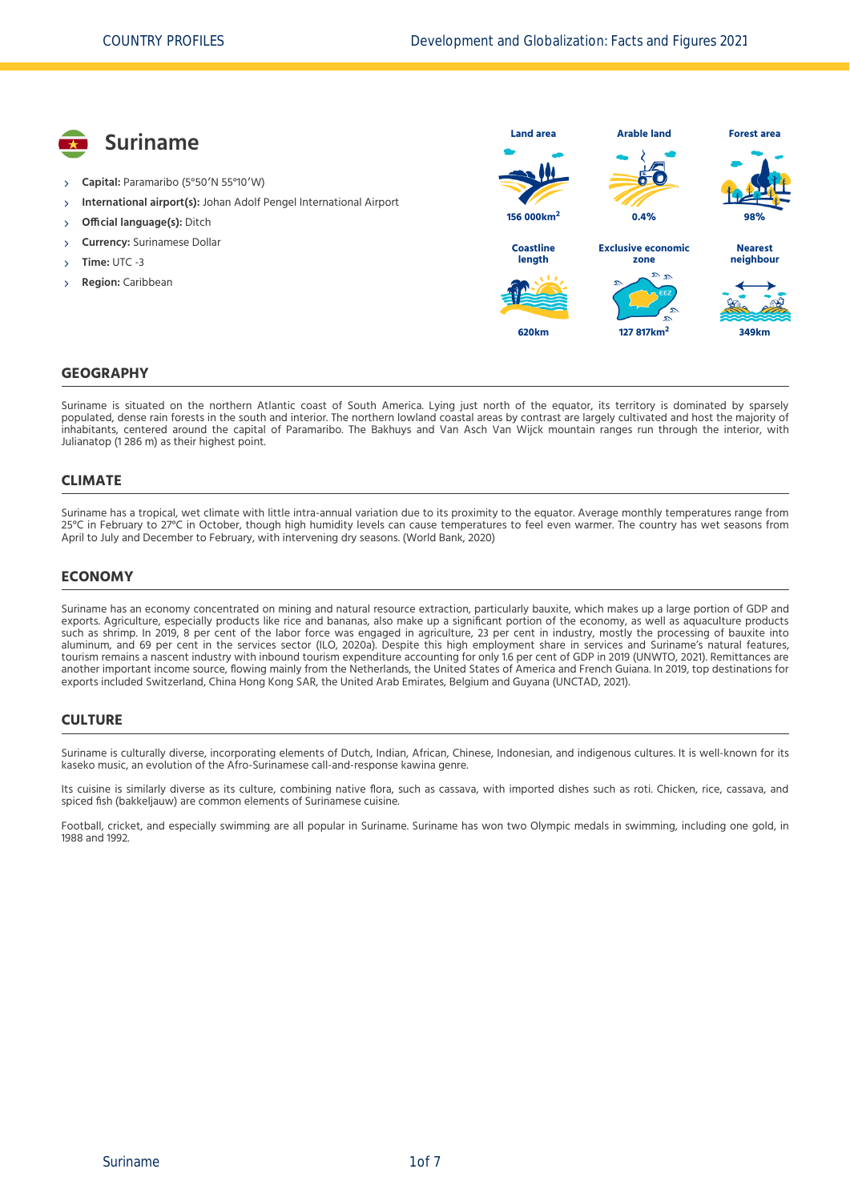

Suriname is situated on the northern Atlantic coast of South America. Lying just north of the equator, its territory is dominated by sparsely populated, dense rain forests in the south and interior. The northern lowland coastal areas by contrast are largely cultivated and host the majority of inhabitants, centered around the capital of Paramaribo. The Bakhuys and Van Asch Van Wijck mountain ranges run through the interior, with Julianatop (1 286 m) as their highest point.

#### **CLIMATE**

Suriname has a tropical, wet climate with little intra-annual variation due to its proximity to the equator. Average monthly temperatures range from 25°C in February to 27°C in October, though high humidity levels can cause temperatures to feel even warmer. The country has wet seasons from April to July and December to February, with intervening dry seasons. [\(World Bank, 2020\)](#page-6-0)

### **ECONOMY**

Suriname has an economy concentrated on mining and natural resource extraction, particularly bauxite, which makes up a large portion of GDP and exports. Agriculture, especially products like rice and bananas, also make up a significant portion of the economy, as well as aquaculture products such as shrimp. In 2019, 8 per cent of the labor force was engaged in agriculture, 23 per cent in industry, mostly the processing of bauxite into aluminum, and 69 per cent in the services sector [\(ILO, 2020a\).](#page-6-1) Despite this high employment share in services and Suriname's natural features, tourism remains a nascent industry with inbound tourism expenditure accounting for only 1.6 per cent of GDP in 2019 [\(UNWTO, 2021\)](#page-6-2). Remittances are another important income source, flowing mainly from the Netherlands, the United States of America and French Guiana. In 2019, top destinations for exports included Switzerland, China Hong Kong SAR, the United Arab Emirates, Belgium and Guyana [\(UNCTAD, 2021\)](#page-6-3).

#### **CULTURE**

Suriname is culturally diverse, incorporating elements of Dutch, Indian, African, Chinese, Indonesian, and indigenous cultures. It is well-known for its kaseko music, an evolution of the Afro-Surinamese call-and-response kawina genre.

Its cuisine is similarly diverse as its culture, combining native flora, such as cassava, with imported dishes such as roti. Chicken, rice, cassava, and spiced fish (bakkeljauw) are common elements of Surinamese cuisine.

Football, cricket, and especially swimming are all popular in Suriname. Suriname has won two Olympic medals in swimming, including one gold, in 1988 and 1992.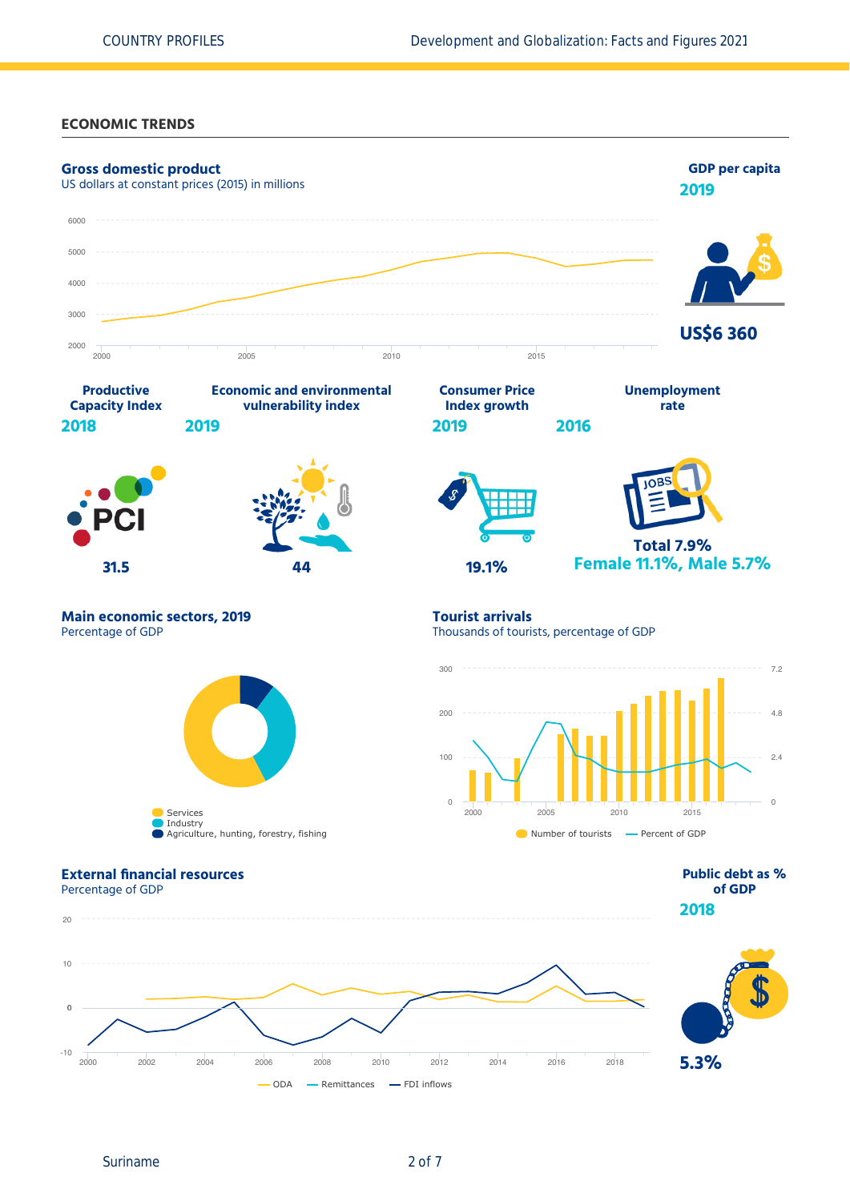### **ECONOMIC TRENDS**



Suriname 2 of 7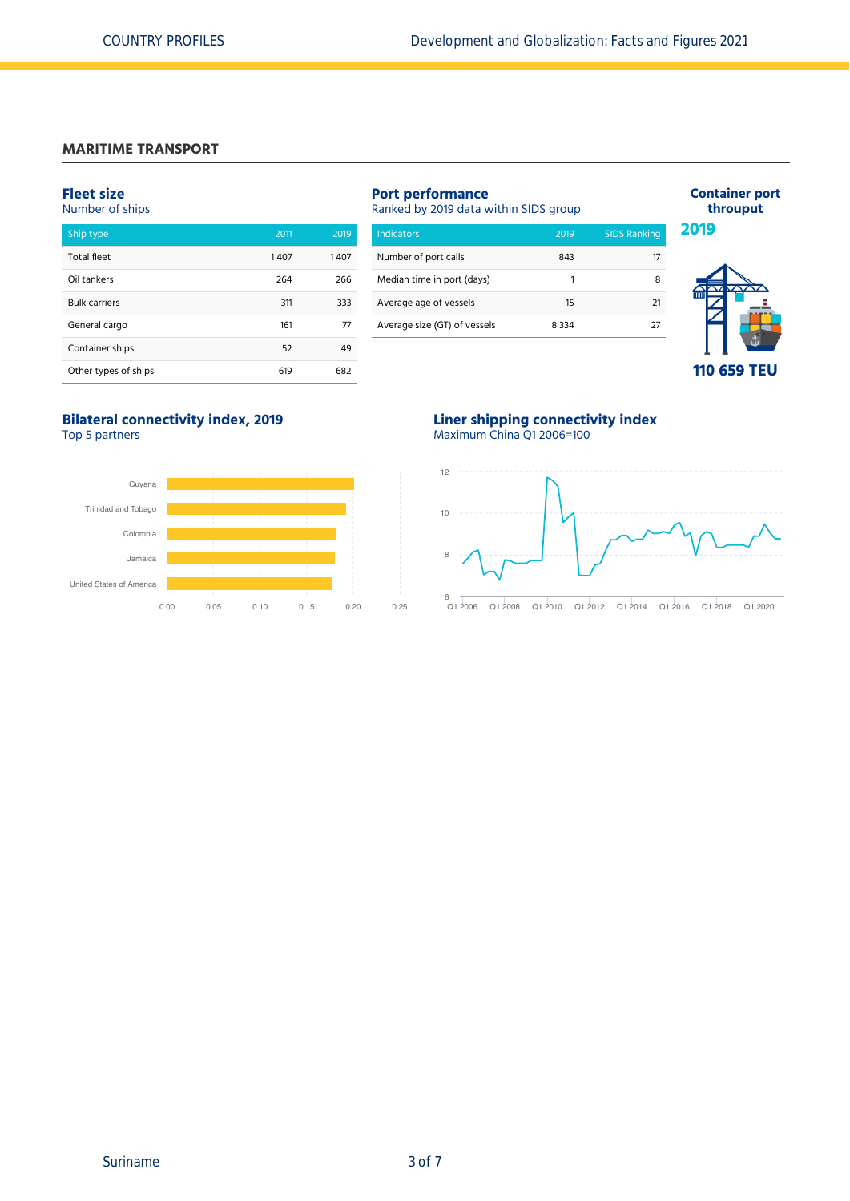### **MARITIME TRANSPORT**

### **Fleet size**

#### Number of ships

| Ship type            | 2011 | 2019 |
|----------------------|------|------|
| <b>Total fleet</b>   | 1407 | 1407 |
| Oil tankers          | 264  | 266  |
| <b>Bulk carriers</b> | 311  | 333  |
| General cargo        | 161  | 77   |
| Container ships      | 52   | 49   |
| Other types of ships | 619  | 682  |

## **Port performance**

Ranked by 2019 data within SIDS group

| <b>Indicators</b>            | 2019    | <b>SIDS Ranking</b> |
|------------------------------|---------|---------------------|
| Number of port calls         | 843     | 17                  |
| Median time in port (days)   | 1       | 8                   |
| Average age of vessels       | 15      | 21                  |
| Average size (GT) of vessels | 8 3 3 4 | דר                  |
|                              |         |                     |





## **Bilateral connectivity index, 2019**

Top 5 partners



**Liner shipping connectivity index** Maximum China Q1 2006=100

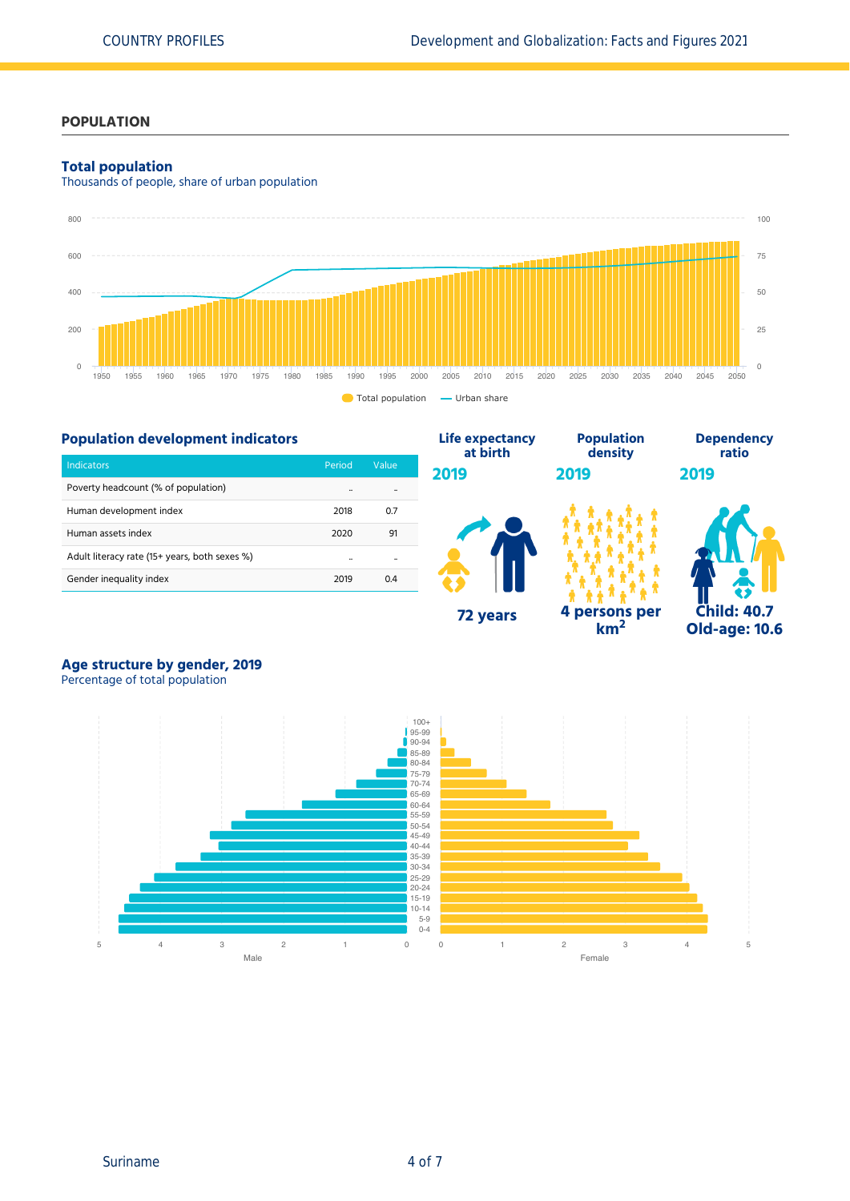## **POPULATION**

### **Total population**

Thousands of people, share of urban population



**Life expectancy**

## **Population development indicators**

| Indicators                                    | Period | Value |
|-----------------------------------------------|--------|-------|
| Poverty headcount (% of population)           |        |       |
| Human development index                       | 2018   | 0.7   |
| Human assets index                            | 2020   | 91    |
| Adult literacy rate (15+ years, both sexes %) |        |       |
| Gender inequality index                       | 2019   | 04    |



**km<sup>2</sup>**

**Population**



**Dependency ratio**

# **Age structure by gender, 2019**

Percentage of total population



Suriname 4 of 7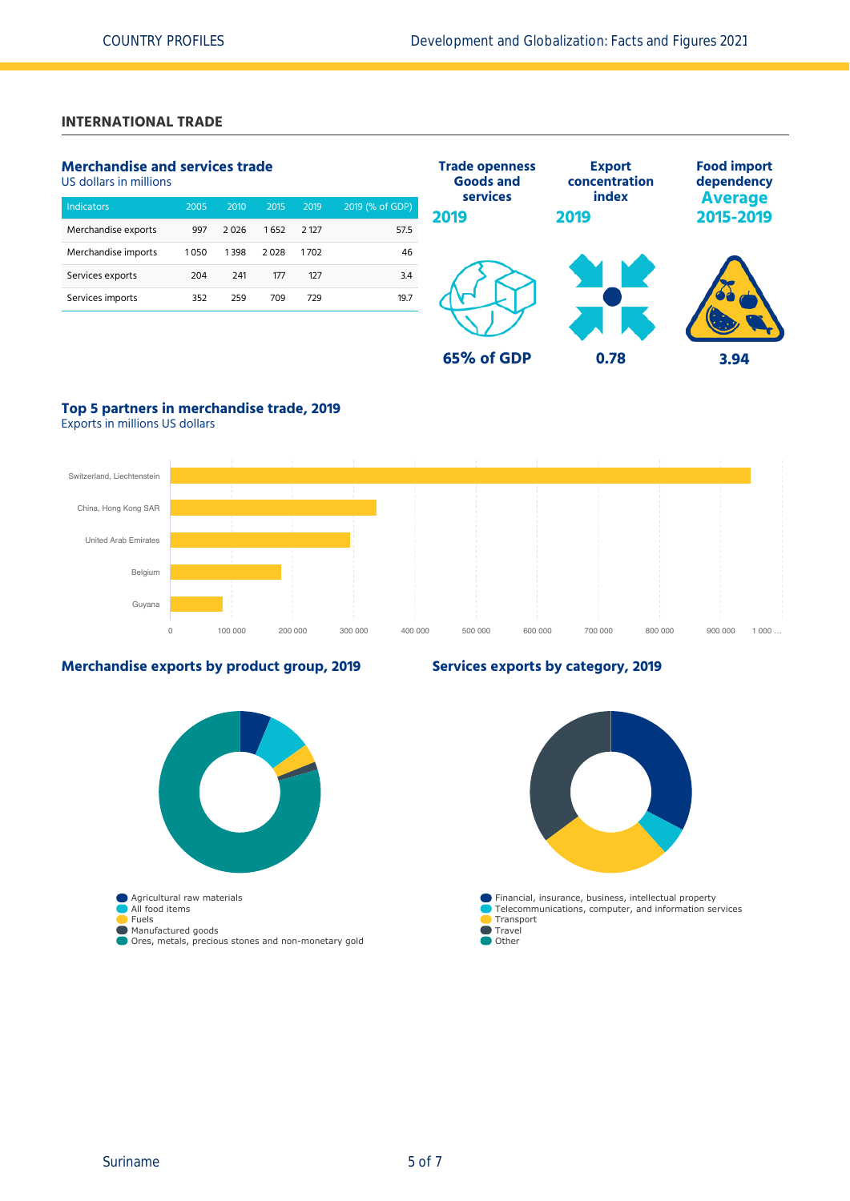## **INTERNATIONAL TRADE**

## **Merchandise and services trade**

US dollars in millions

| <b>Indicators</b>   | 2005 | 2010 | 2015 | 2019    | 2019 (% of GDP) |
|---------------------|------|------|------|---------|-----------------|
| Merchandise exports | 997  | 2026 | 1652 | 2 1 2 7 | 57.5            |
| Merchandise imports | 1050 | 1398 | 2028 | 1702    | 46              |
| Services exports    | 204  | 241  | 177  | 127     | 3.4             |
| Services imports    | 352  | 259  | 709  | 729     | 19.7            |
|                     |      |      |      |         |                 |



## **Top 5 partners in merchandise trade, 2019**

Exports in millions US dollars



### **Merchandise exports by product group, 2019**



## **Services exports by category, 2019**

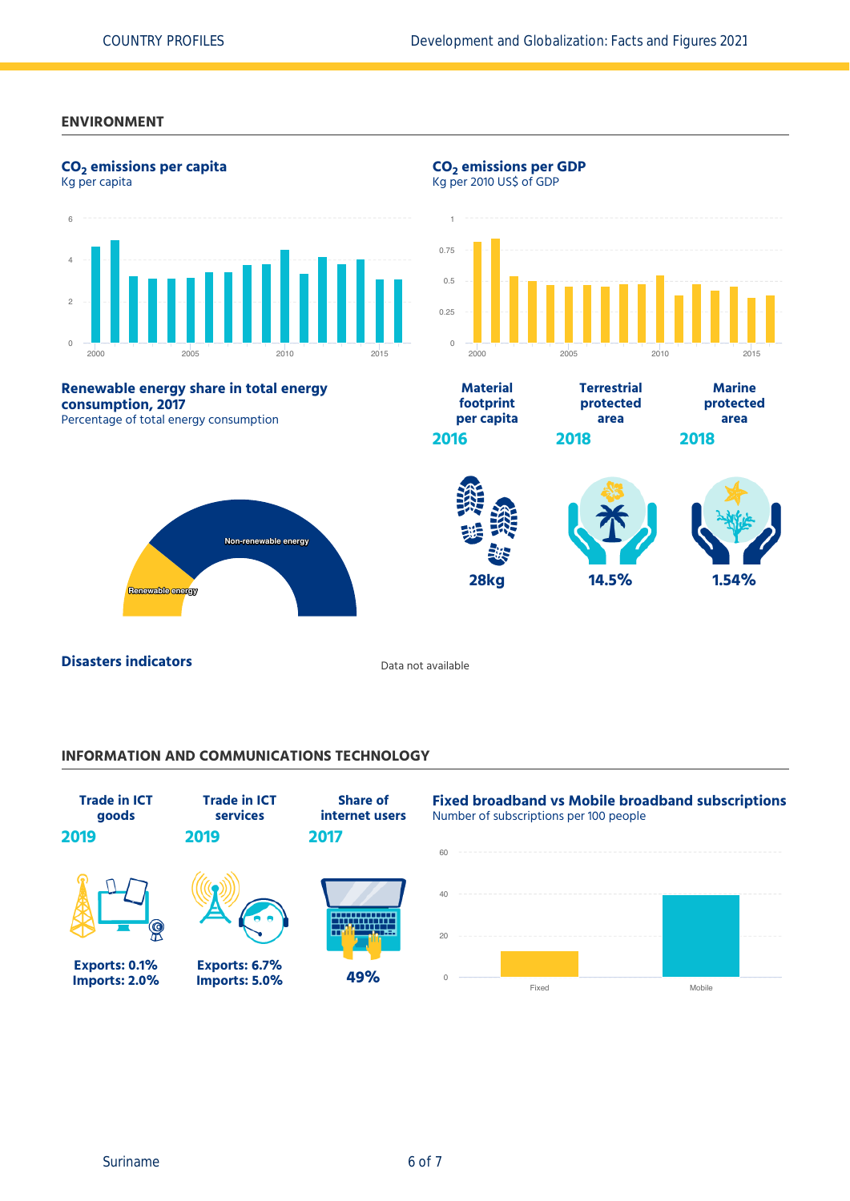### **ENVIRONMENT**



## **INFORMATION AND COMMUNICATIONS TECHNOLOGY**